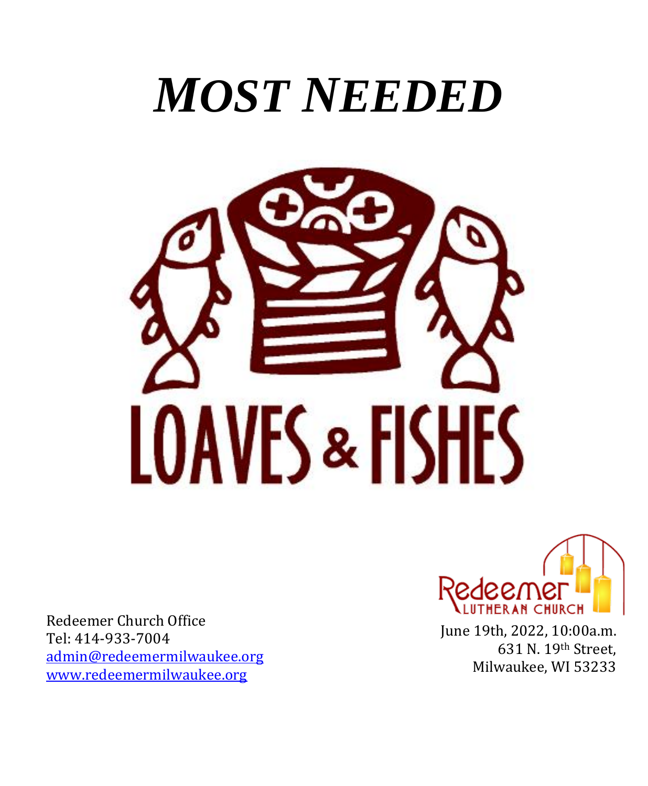# *MOST NEEDED*



Redeemer Church Office Tel: 414-933-7004 [admin@redeemermilwaukee.org](mailto:admin@redeemermilwaukee.org) [www.redeemermilwaukee.org](http://www.redeemermilwaukee.org/)



June 19th, 2022, 10:00a.m. 631 N. 19th Street, Milwaukee, WI 53233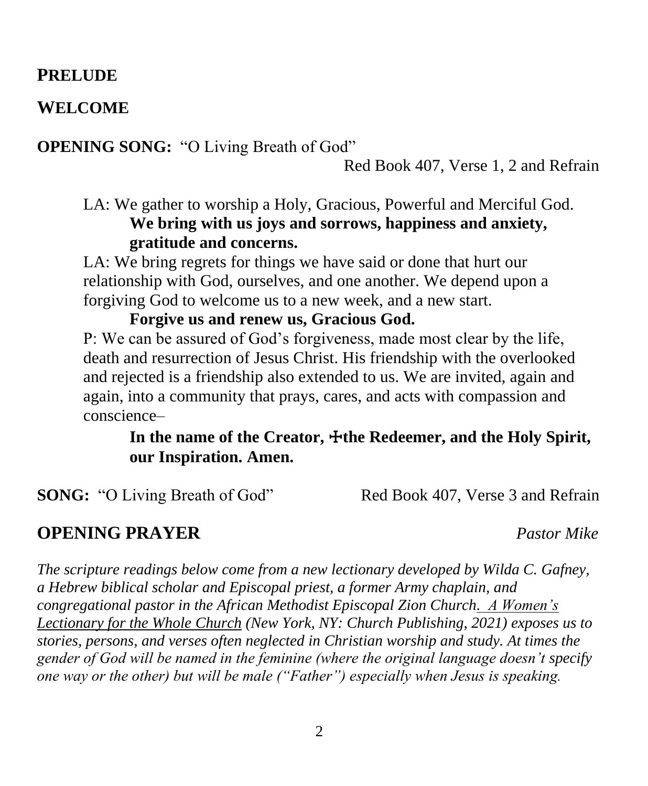#### **PRELUDE**

#### **WELCOME**

**OPENING SONG:** "O Living Breath of God"

Red Book 407, Verse 1, 2 and Refrain

LA: We gather to worship a Holy, Gracious, Powerful and Merciful God. **We bring with us joys and sorrows, happiness and anxiety, gratitude and concerns.**

LA: We bring regrets for things we have said or done that hurt our relationship with God, ourselves, and one another. We depend upon a forgiving God to welcome us to a new week, and a new start.

P: We can be assured of God's forgiveness, made most clear by the life, death and resurrection of Jesus Christ. His friendship with the overlooked and rejected is a friendship also extended to us. We are invited, again and again, into a community that prays, cares, and acts with compassion and conscience–

#### In the name of the Creator,  $\pm$ the Redeemer, and the Holy Spirit, **our Inspiration. Amen.**

**SONG:** "O Living Breath of God" Red Book 407, Verse 3 and Refrain

#### **OPENING PRAYER** *Pastor Mike*

*The scripture readings below come from a new lectionary developed by Wilda C. Gafney, a Hebrew biblical scholar and Episcopal priest, a former Army chaplain, and congregational pastor in the African Methodist Episcopal Zion Church. A Women's Lectionary for the Whole Church (New York, NY: Church Publishing, 2021) exposes us to stories, persons, and verses often neglected in Christian worship and study. At times the gender of God will be named in the feminine (where the original language doesn't specify one way or the other) but will be male ("Father") especially when Jesus is speaking.*

**Forgive us and renew us, Gracious God.**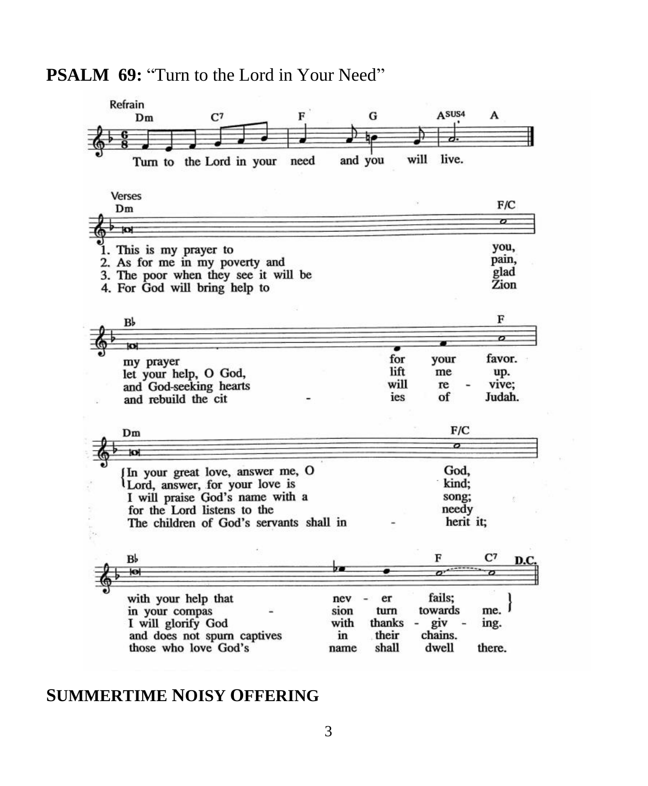#### **PSALM 69:** "Turn to the Lord in Your Need"



#### **SUMMERTIME NOISY OFFERING**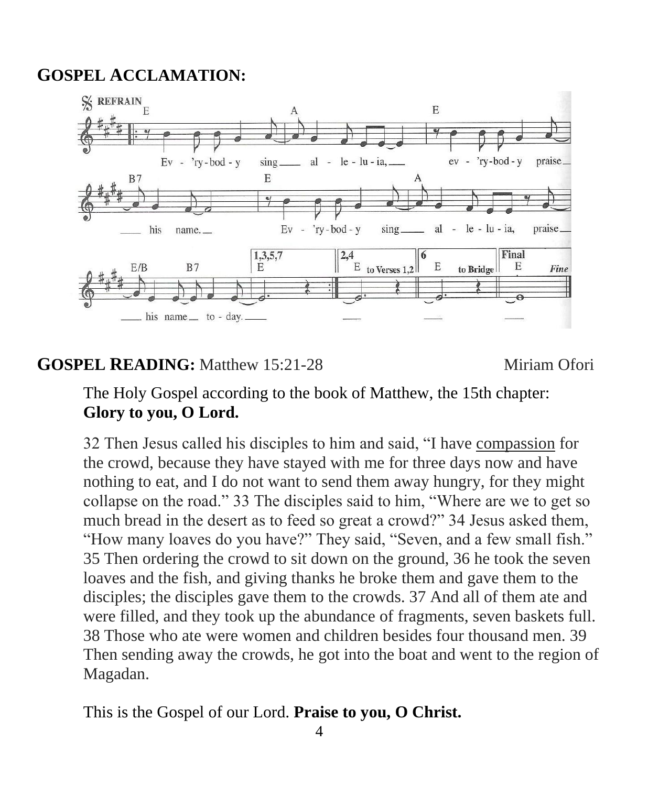### **GOSPEL ACCLAMATION:**



#### **GOSPEL READING:** Matthew 15:21-28 Miriam Ofori

The Holy Gospel according to the book of Matthew, the 15th chapter: **Glory to you, O Lord.**

32 Then Jesus called his disciples to him and said, "I have compassion for the crowd, because they have stayed with me for three days now and have nothing to eat, and I do not want to send them away hungry, for they might collapse on the road." 33 The disciples said to him, "Where are we to get so much bread in the desert as to feed so great a crowd?" 34 Jesus asked them, "How many loaves do you have?" They said, "Seven, and a few small fish." 35 Then ordering the crowd to sit down on the ground, 36 he took the seven loaves and the fish, and giving thanks he broke them and gave them to the disciples; the disciples gave them to the crowds. 37 And all of them ate and were filled, and they took up the abundance of fragments, seven baskets full. 38 Those who ate were women and children besides four thousand men. 39 Then sending away the crowds, he got into the boat and went to the region of Magadan.

This is the Gospel of our Lord. **Praise to you, O Christ.**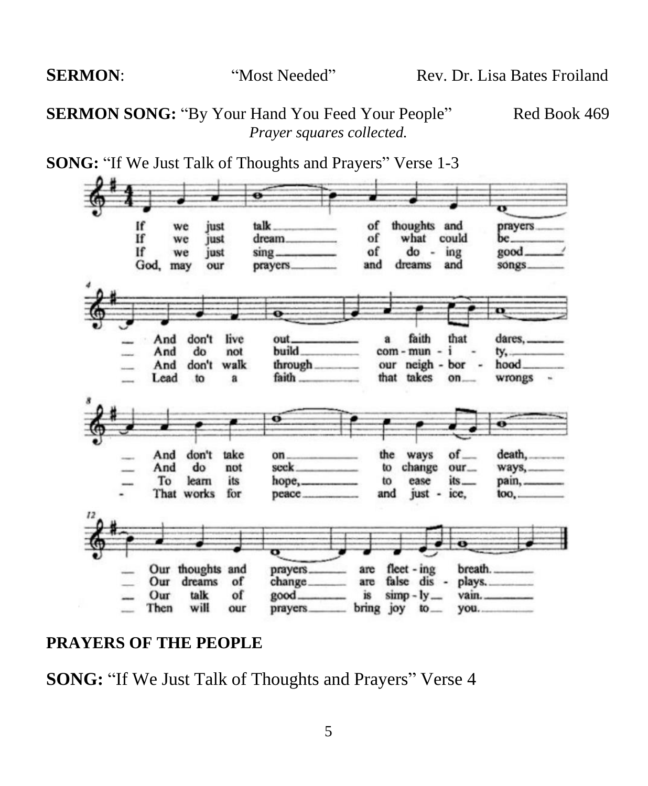**SERMON SONG:** "By Your Hand You Feed Your People" Red Book 469 *Prayer squares collected.*





#### **PRAYERS OF THE PEOPLE**

**SONG:** "If We Just Talk of Thoughts and Prayers" Verse 4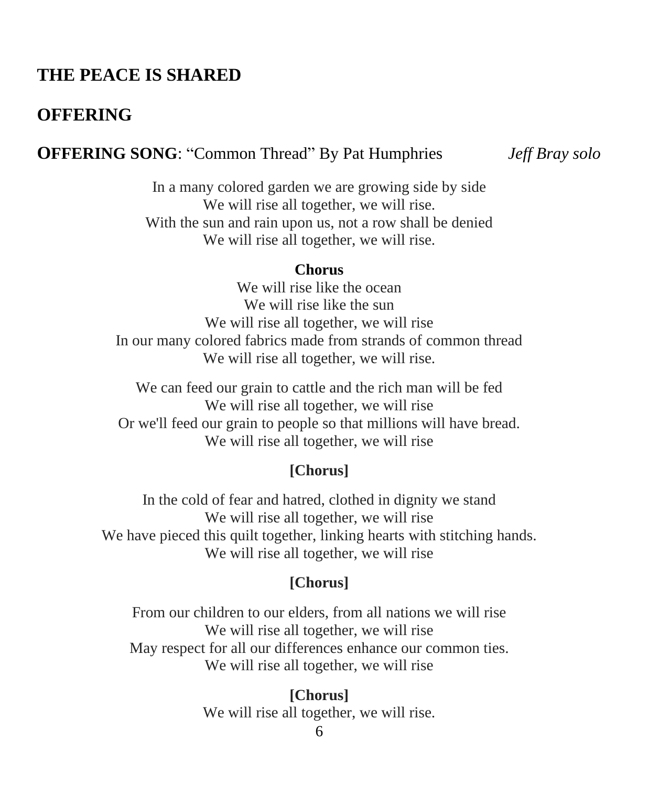#### **THE PEACE IS SHARED**

#### **OFFERING**

#### **OFFERING SONG**: "Common Thread" By Pat Humphries *Jeff Bray solo*

In a many colored garden we are growing side by side We will rise all together, we will rise. With the sun and rain upon us, not a row shall be denied We will rise all together, we will rise.

#### **Chorus**

We will rise like the ocean We will rise like the sun We will rise all together, we will rise In our many colored fabrics made from strands of common thread We will rise all together, we will rise.

We can feed our grain to cattle and the rich man will be fed We will rise all together, we will rise Or we'll feed our grain to people so that millions will have bread. We will rise all together, we will rise

#### **[Chorus]**

In the cold of fear and hatred, clothed in dignity we stand We will rise all together, we will rise We have pieced this quilt together, linking hearts with stitching hands. We will rise all together, we will rise

#### **[Chorus]**

From our children to our elders, from all nations we will rise We will rise all together, we will rise May respect for all our differences enhance our common ties. We will rise all together, we will rise

> **[Chorus]** We will rise all together, we will rise.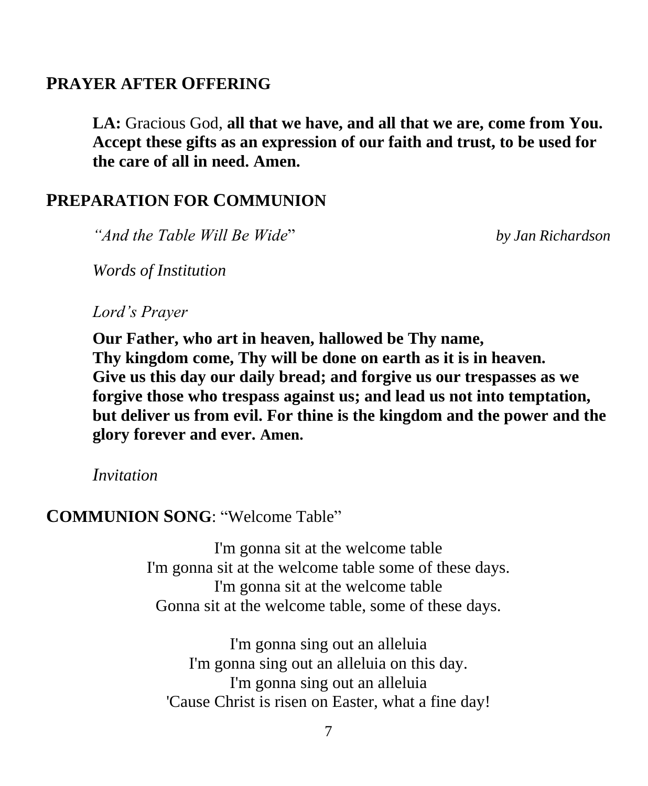#### **PRAYER AFTER OFFERING**

**LA:** Gracious God, **all that we have, and all that we are, come from You. Accept these gifts as an expression of our faith and trust, to be used for the care of all in need. Amen.**

#### **PREPARATION FOR COMMUNION**

*"And the Table Will Be Wide*" *by Jan Richardson*

*Words of Institution*

*Lord's Prayer*

**Our Father, who art in heaven, hallowed be Thy name, Thy kingdom come, Thy will be done on earth as it is in heaven. Give us this day our daily bread; and forgive us our trespasses as we forgive those who trespass against us; and lead us not into temptation, but deliver us from evil. For thine is the kingdom and the power and the glory forever and ever. Amen.**

*Invitation*

#### **COMMUNION SONG**: "Welcome Table"

I'm gonna sit at the welcome table I'm gonna sit at the welcome table some of these days. I'm gonna sit at the welcome table Gonna sit at the welcome table, some of these days.

I'm gonna sing out an alleluia I'm gonna sing out an alleluia on this day. I'm gonna sing out an alleluia 'Cause Christ is risen on Easter, what a fine day!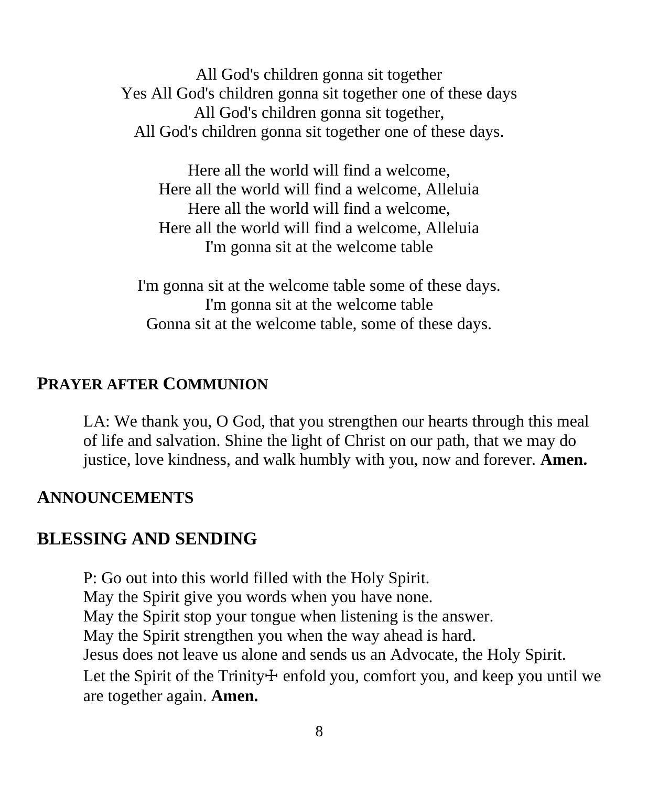All God's children gonna sit together Yes All God's children gonna sit together one of these days All God's children gonna sit together, All God's children gonna sit together one of these days.

Here all the world will find a welcome, Here all the world will find a welcome, Alleluia Here all the world will find a welcome, Here all the world will find a welcome, Alleluia I'm gonna sit at the welcome table

I'm gonna sit at the welcome table some of these days. I'm gonna sit at the welcome table Gonna sit at the welcome table, some of these days.

#### **PRAYER AFTER COMMUNION**

LA: We thank you, O God, that you strengthen our hearts through this meal of life and salvation. Shine the light of Christ on our path, that we may do justice, love kindness, and walk humbly with you, now and forever. **Amen.**

#### **ANNOUNCEMENTS**

#### **BLESSING AND SENDING**

P: Go out into this world filled with the Holy Spirit. May the Spirit give you words when you have none. May the Spirit stop your tongue when listening is the answer. May the Spirit strengthen you when the way ahead is hard. Jesus does not leave us alone and sends us an Advocate, the Holy Spirit. Let the Spirit of the Trinity $+$  enfold you, comfort you, and keep you until we are together again. **Amen.**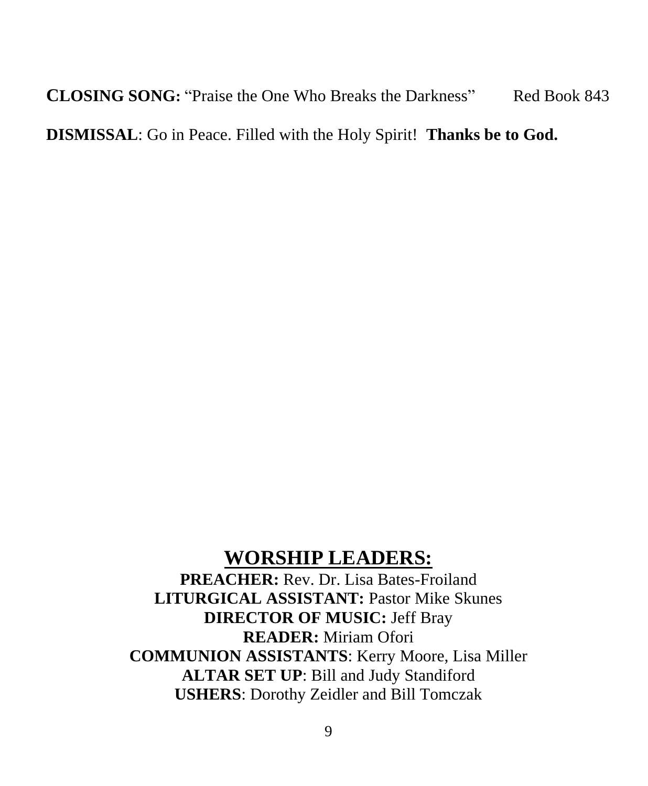**CLOSING SONG:** "Praise the One Who Breaks the Darkness" Red Book 843 **DISMISSAL**: Go in Peace. Filled with the Holy Spirit! **Thanks be to God.**

### **WORSHIP LEADERS:**

**PREACHER:** Rev. Dr. Lisa Bates-Froiland **LITURGICAL ASSISTANT:** Pastor Mike Skunes **DIRECTOR OF MUSIC:** Jeff Bray **READER:** Miriam Ofori **COMMUNION ASSISTANTS**: Kerry Moore, Lisa Miller **ALTAR SET UP**: Bill and Judy Standiford **USHERS**: Dorothy Zeidler and Bill Tomczak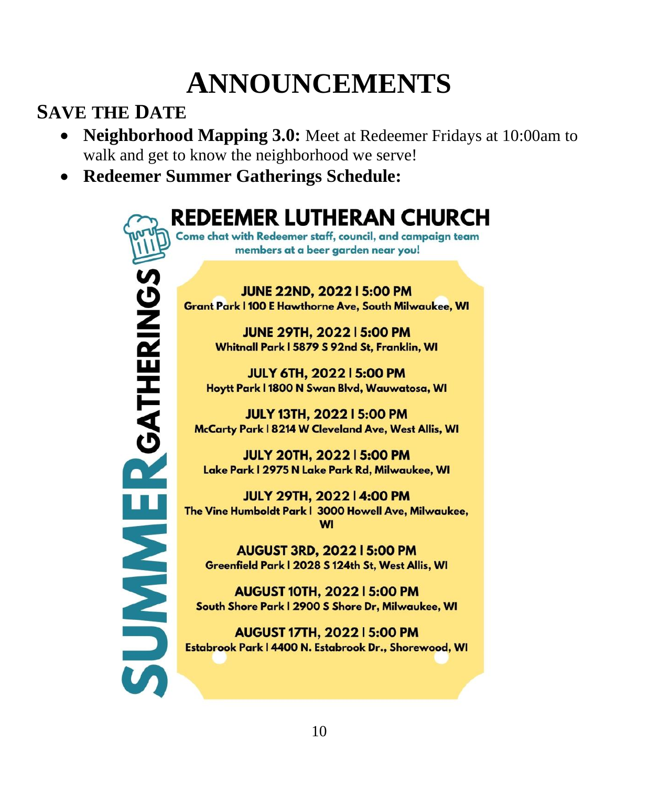## **ANNOUNCEMENTS**

### **SAVE THE DATE**

- **Neighborhood Mapping 3.0:** Meet at Redeemer Fridays at 10:00am to walk and get to know the neighborhood we serve!
- **Redeemer Summer Gatherings Schedule:**

**REDEEMER LUTHERAN CHURCH** Come chat with Redeemer staff, council, and campaign team members at a beer garden near you! **SUMMERGATHERINGS JUNE 22ND, 2022 | 5:00 PM Grant Park | 100 E Hawthorne Ave, South Milwaukee, WI JUNE 29TH, 2022 | 5:00 PM** Whitnall Park | 5879 S 92nd St, Franklin, WI **JULY 6TH, 2022 | 5:00 PM** Hoytt Park | 1800 N Swan Blvd, Wauwatosa, WI **JULY 13TH, 2022 | 5:00 PM** McCarty Park | 8214 W Cleveland Ave, West Allis, WI **JULY 20TH, 2022 | 5:00 PM** Lake Park | 2975 N Lake Park Rd, Milwaukee, WI **JULY 29TH, 2022 | 4:00 PM** The Vine Humboldt Park | 3000 Howell Ave, Milwaukee, **WI AUGUST 3RD, 2022 | 5:00 PM** Greenfield Park | 2028 S 124th St, West Allis, WI AUGUST 10TH, 2022 | 5:00 PM South Shore Park | 2900 S Shore Dr, Milwaukee, WI **AUGUST 17TH, 2022 | 5:00 PM** Estabrook Park | 4400 N. Estabrook Dr., Shorewood, WI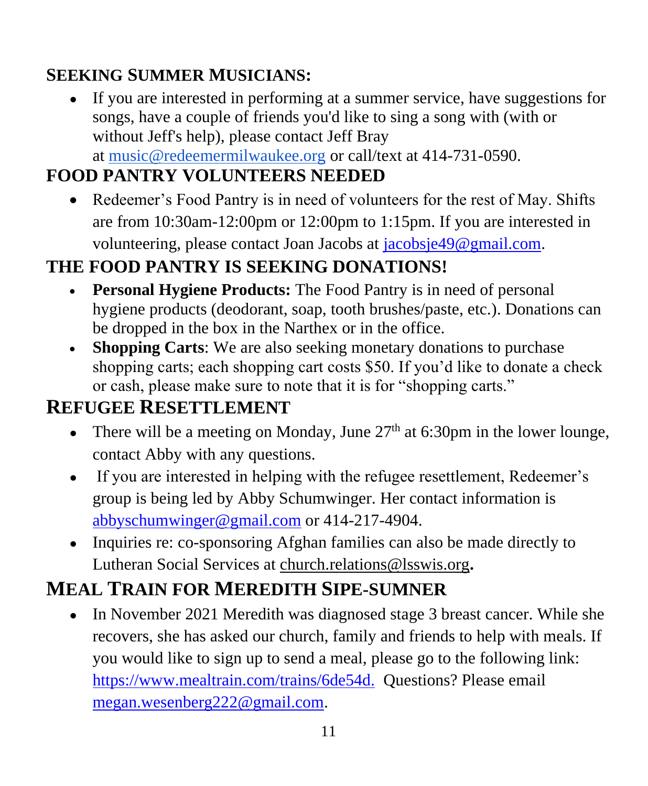### **SEEKING SUMMER MUSICIANS:**

● If you are interested in performing at a summer service, have suggestions for songs, have a couple of friends you'd like to sing a song with (with or without Jeff's help), please contact Jeff Bray at [music@redeemermilwaukee.org](mailto:music@redeemermilwaukee.org) or call/text at 414-731-0590.

### **FOOD PANTRY VOLUNTEERS NEEDED**

• Redeemer's Food Pantry is in need of volunteers for the rest of May. Shifts are from 10:30am-12:00pm or 12:00pm to 1:15pm. If you are interested in volunteering, please contact Joan Jacobs at [jacobsje49@gmail.com.](mailto:jacobsje49@gmail.com)

### **THE FOOD PANTRY IS SEEKING DONATIONS!**

- **Personal Hygiene Products:** The Food Pantry is in need of personal hygiene products (deodorant, soap, tooth brushes/paste, etc.). Donations can be dropped in the box in the Narthex or in the office.
- **Shopping Carts:** We are also seeking monetary donations to purchase shopping carts; each shopping cart costs \$50. If you'd like to donate a check or cash, please make sure to note that it is for "shopping carts."

### **REFUGEE RESETTLEMENT**

- There will be a meeting on Monday, June  $27<sup>th</sup>$  at 6:30pm in the lower lounge, contact Abby with any questions.
- If you are interested in helping with the refugee resettlement, Redeemer's group is being led by Abby Schumwinger. Her contact information is [abbyschumwinger@gmail.com](mailto:abbyschumwinger@gmail.com) or 414-217-4904.
- Inquiries re: co-sponsoring Afghan families can also be made directly to Lutheran Social Services at [church.relations@lsswis.org](mailto:church.relations@lsswis.org)**.**

### **MEAL TRAIN FOR MEREDITH SIPE-SUMNER**

• In November 2021 Meredith was diagnosed stage 3 breast cancer. While she recovers, she has asked our church, family and friends to help with meals. If you would like to sign up to send a meal, please go to the following link: [https://www.mealtrain.com/trains/6de54d.](https://www.mealtrain.com/trains/6de54d) Questions? Please email [megan.wesenberg222@gmail.com.](mailto:megan.wesenberg222@gmail.com)